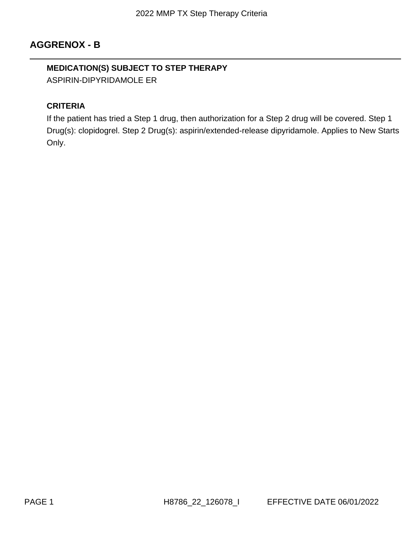# **AGGRENOX - B**

# **MEDICATION(S) SUBJECT TO STEP THERAPY**

ASPIRIN-DIPYRIDAMOLE ER

### **CRITERIA**

If the patient has tried a Step 1 drug, then authorization for a Step 2 drug will be covered. Step 1 Drug(s): clopidogrel. Step 2 Drug(s): aspirin/extended-release dipyridamole. Applies to New Starts Only.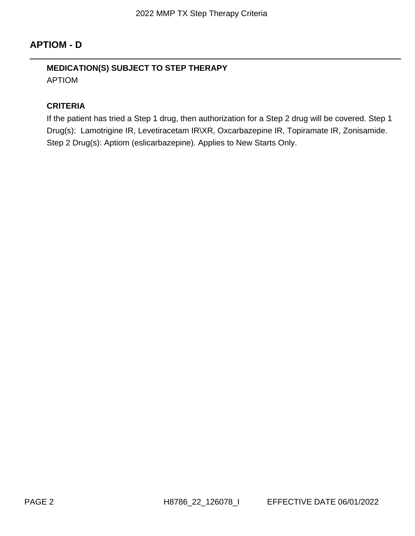# **APTIOM - D**

# **MEDICATION(S) SUBJECT TO STEP THERAPY** APTIOM

#### **CRITERIA**

If the patient has tried a Step 1 drug, then authorization for a Step 2 drug will be covered. Step 1 Drug(s): Lamotrigine IR, Levetiracetam IR\XR, Oxcarbazepine IR, Topiramate IR, Zonisamide. Step 2 Drug(s): Aptiom (eslicarbazepine). Applies to New Starts Only.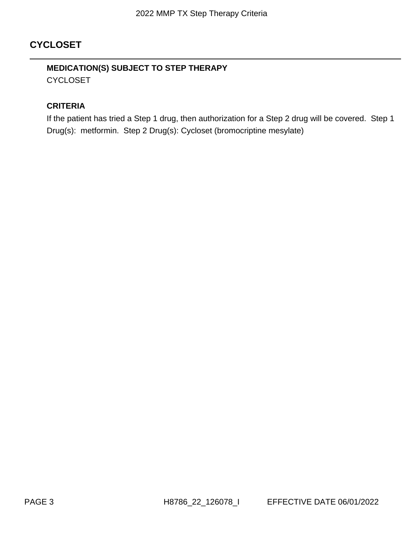# **CYCLOSET**

# **MEDICATION(S) SUBJECT TO STEP THERAPY CYCLOSET**

#### **CRITERIA**

If the patient has tried a Step 1 drug, then authorization for a Step 2 drug will be covered. Step 1 Drug(s): metformin. Step 2 Drug(s): Cycloset (bromocriptine mesylate)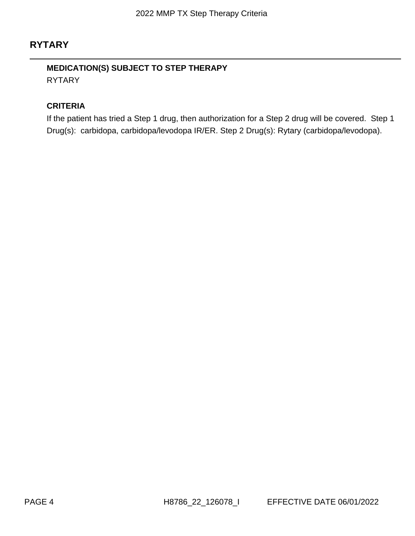# **RYTARY**

## **MEDICATION(S) SUBJECT TO STEP THERAPY** RYTARY

#### **CRITERIA**

If the patient has tried a Step 1 drug, then authorization for a Step 2 drug will be covered. Step 1 Drug(s): carbidopa, carbidopa/levodopa IR/ER. Step 2 Drug(s): Rytary (carbidopa/levodopa).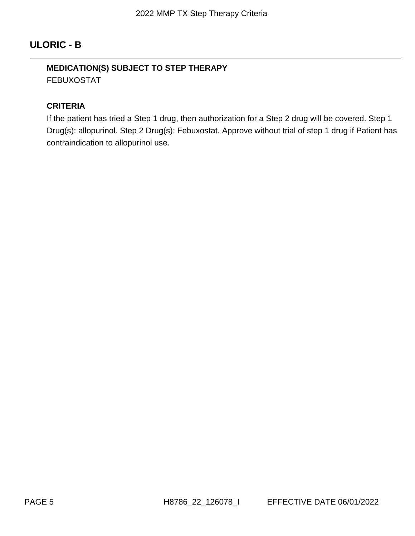# **ULORIC - B**

## **MEDICATION(S) SUBJECT TO STEP THERAPY** FEBUXOSTAT

#### **CRITERIA**

If the patient has tried a Step 1 drug, then authorization for a Step 2 drug will be covered. Step 1 Drug(s): allopurinol. Step 2 Drug(s): Febuxostat. Approve without trial of step 1 drug if Patient has contraindication to allopurinol use.